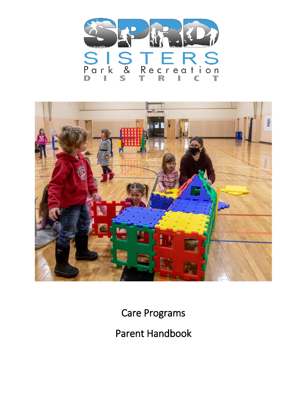



Care Programs Parent Handbook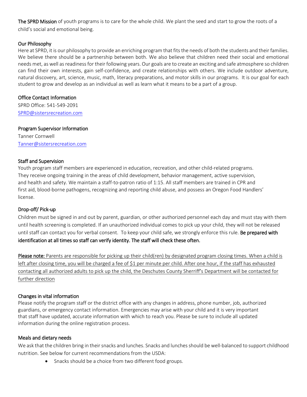The SPRD Mission of youth programs is to care for the whole child. We plant the seed and start to grow the roots of a child's social and emotional being.

### Our Philosophy

Here at SPRD, it is our philosophy to provide an enriching program that fits the needs of both the students and their families. We believe there should be a partnership between both. We also believe that children need their social and emotional needs met, as well as readiness for their following years. Our goals are to create an exciting and safe atmosphere so children can find their own interests, gain self-confidence, and create relationships with others. We include outdoor adventure, natural discovery, art, science, music, math, literacy preparations, and motor skills in our programs. It is our goal for each student to grow and develop as an individual as well as learn what it means to be a part of a group.

### Office Contact Information

SPRD Office: 541-549-2091 [SPRD@sistersrecreation.com](mailto:SPRD@sistersrecreation.com)

### Program Supervisor Information

Tanner Cornwell [Tanner@sistersrecreation.com](mailto:Tanner@sistersrecreation.com)

### Staff and Supervision

Youth program staff members are experienced in education, recreation, and other child-related programs. They receive ongoing training in the areas of child development, behavior management, active supervision, and health and safety. We maintain a staff-to-patron ratio of 1:15. All staff members are trained in CPR and first aid, blood-borne pathogens, recognizing and reporting child abuse, and possess an Oregon Food Handlers' license.

## Drop-off/ Pick-up

Children must be signed in and out by parent, guardian, or other authorized personnel each day and must stay with them until health screening is completed. If an unauthorized individual comes to pick up your child, they will not be released until staff can contact you for verbal consent. To keep your child safe, we strongly enforce this rule. Be prepared with identification at all times so staff can verify identity. The staff will check these often.

Please note: Parents are responsible for picking up their child(ren) by designated program closing times. When a child is left after closing time, you will be charged a fee of \$1 per minute per child. After one hour, if the staff has exhausted contacting all authorized adults to pick up the child, the Deschutes County Sherriff's Department will be contacted for further direction

## Changes in vital information

Please notify the program staff or the district office with any changes in address, phone number, job, authorized guardians, or emergency contact information. Emergencies may arise with your child and it is very important that staff have updated, accurate information with which to reach you. Please be sure to include all updated information during the online registration process.

#### Meals and dietary needs

We ask that the children bring in their snacks and lunches. Snacks and lunches should be well-balanced to support childhood nutrition. See below for current recommendations from the USDA:

• Snacks should be a choice from two different food groups.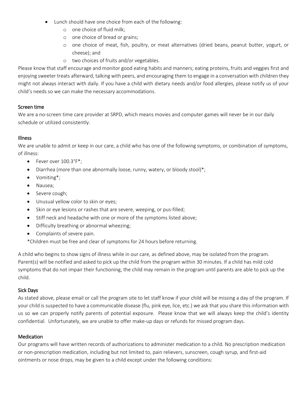- Lunch should have one choice from each of the following:
	- o one choice of fluid milk;
	- o one choice of bread or grains;
	- o one choice of meat, fish, poultry, or meat alternatives (dried beans, peanut butter, yogurt, or cheese); and
	- o two choices of fruits and/or vegetables.

Please know that staff encourage and monitor good eating habits and manners; eating proteins, fruits and veggies first and enjoying sweeter treats afterward, talking with peers, and encouraging them to engage in a conversation with children they might not always interact with daily. If you have a child with dietary needs and/or food allergies, please notify us of your child's needs so we can make the necessary accommodations.

## Screen time

We are a no-screen time care provider at SRPD, which means movies and computer games will never be in our daily schedule or utilized consistently.

## Illness

We are unable to admit or keep in our care, a child who has one of the following symptoms, or combination of symptoms, of illness:

- Fever over 100.3°F\*;
- Diarrhea (more than one abnormally loose, runny, watery, or bloody stool)\*;
- Vomiting\*;
- Nausea;
- Severe cough;
- Unusual yellow color to skin or eyes;
- Skin or eye lesions or rashes that are severe, weeping, or pus-filled;
- Stiff neck and headache with one or more of the symptoms listed above;
- Difficulty breathing or abnormal wheezing;
- Complaints of severe pain.

\*Children must be free and clear of symptoms for 24 hours before returning.

A child who begins to show signs of illness while in our care, as defined above, may be isolated from the program. Parent(s) will be notified and asked to pick up the child from the program within 30 minutes. If a child has mild cold symptoms that do not impair their functioning, the child may remain in the program until parents are able to pick up the child.

## Sick Days

As stated above, please email or call the program site to let staff know if your child will be missing a day of the program. If your child is suspected to have a communicable disease (flu, pink eye, lice, etc.) we ask that you share this information with us so we can properly notify parents of potential exposure. Please know that we will always keep the child's identity confidential. Unfortunately, we are unable to offer make-up days or refunds for missed program days.

## Medication

Our programs will have written records of authorizations to administer medication to a child. No prescription medication or non-prescription medication, including but not limited to, pain relievers, sunscreen, cough syrup, and first-aid ointments or nose drops, may be given to a child except under the following conditions: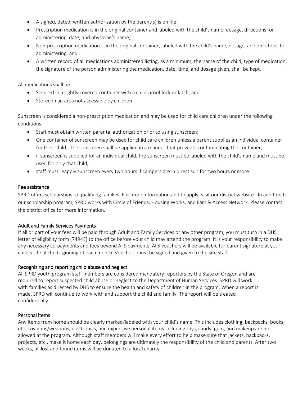- A signed, dated, written authorization by the parent(s) is on file;
- Prescription medication is in the original container and labeled with the child's name, dosage, directions for administering, date, and physician's name;
- Non-prescription medication is in the original container, labeled with the child's name, dosage, and directions for administering; and
- A written record of all medications administered listing, as a minimum, the name of the child, type of medication, the signature of the person administering the medication, date, time, and dosage given, shall be kept.

All medications shall be:

- Secured in a tightly covered container with a child-proof lock or latch; and
- Stored in an area not accessible by children

Sunscreen is considered a non-prescription medication and may be used for child care children under the following conditions:

- Staff must obtain written parental authorization prior to using sunscreen;
- One container of sunscreen may be used for child care children unless a parent supplies an individual container for their child. The sunscreen shall be applied in a manner that prevents contaminating the container;
- if sunscreen is supplied for an individual child, the sunscreen must be labeled with the child's name and must be used for only that child;
- staff must reapply sunscreen every two hours if campers are in direct sun for two hours or more.

## Fee assistance

SPRD offers scholarships to qualifying families. For more information and to apply, visit our district website. In addition to our scholarship program, SPRD works with Circle of Friends, Housing Works, and Family Access Network. Please contact the district office for more information.

## Adult and Family Services Payments

If all or part of your fees will be paid through Adult and Family Services or any other program, you must turn in a DHS letter of eligibility form (7494E) to the office before your child may attend the program. It is your responsibility to make any necessary co-payments and fees beyond AFS payments. AFS vouchers will be available for parent signature at your child's site at the beginning of each month. Vouchers must be signed and given to the site staff.

## Recognizing and reporting child abuse and neglect

All SPRD youth program staff members are considered mandatory reporters by the State of Oregon and are required to report suspected child abuse or neglect to the Department of Human Services. SPRD will work with families as directed by DHS to ensure the health and safety of children in the program. When a report is made, SPRD will continue to work with and support the child and family. The report will be treated confidentially.

## Personal items

Any items from home should be clearly marked/labeled with your child's name. This includes clothing, backpacks, books, etc. Toy guns/weapons, electronics, and expensive personal items including toys, candy, gum, and makeup are not allowed at the program. Although staff members will make every effort to help make sure that jackets, backpacks, projects, etc., make it home each day, belongings are ultimately the responsibility of the child and parents. After two weeks, all lost and found items will be donated to a local charity.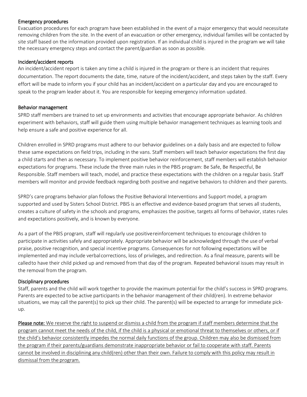#### Emergency procedures

Evacuation procedures for each program have been established in the event of a major emergency that would necessitate removing children from the site. In the event of an evacuation or other emergency, individual families will be contacted by site staff based on the information provided upon registration. If an individual child is injured in the program we will take the necessary emergency steps and contact the parent/guardian as soon as possible.

#### Incident/accident reports

An incident/accident report is taken any time a child is injured in the program or there is an incident that requires documentation. The report documents the date, time, nature of the incident/accident, and steps taken by the staff. Every effort will be made to inform you if your child has an incident/accident on a particular day and you are encouraged to speak to the program leader about it. You are responsible for keeping emergency information updated.

### Behavior management

SPRD staff members are trained to set up environments and activities that encourage appropriate behavior. As children experiment with behaviors, staff will guide them using multiple behavior management techniques as learning tools and help ensure a safe and positive experience for all.

Children enrolled in SPRD programs must adhere to our behavior guidelines on a daily basis and are expected to follow these same expectations on field trips, including in the vans. Staff members will teach behavior expectations the first day a child starts and then as necessary. To implement positive behavior reinforcement, staff members will establish behavior expectations for programs. These include the three main rules in the PBIS program: Be Safe, Be Respectful, Be Responsible. Staff members will teach, model, and practice these expectations with the children on a regular basis. Staff members will monitor and provide feedback regarding both positive and negative behaviors to children and their parents.

SPRD's care programs behavior plan follows the Positive Behavioral Interventions and Support model, a program supported and used by Sisters School District. PBIS is an effective and evidence-based program that serves all students, creates a culture of safety in the schools and programs, emphasizes the positive, targets all forms of behavior, states rules and expectations positively, and is known by everyone.

As a part of the PBIS program, staff will regularly use positivereinforcement techniques to encourage children to participate in activities safely and appropriately. Appropriate behavior will be acknowledged through the use of verbal praise, positive recognition, and special incentive programs. Consequences for not following expectations will be implemented and may include verbalcorrections, loss of privileges, and redirection. As a final measure, parents will be calledto have their child picked up and removed from that day of the program. Repeated behavioral issues may result in the removal from the program.

## Disciplinary procedures

Staff, parents and the child will work together to provide the maximum potential for the child's success in SPRD programs. Parents are expected to be active participants in the behavior management of their child(ren). In extreme behavior situations, we may call the parent(s) to pick up their child. The parent(s) will be expected to arrange for immediate pickup.

Please note: We reserve the right to suspend or dismiss a child from the program if staff members determine that the program cannot meet the needs of the child, if the child is a physical or emotional threat to themselves or others, or if the child's behavior consistently impedes the normal daily functions of the group. Children may also be dismissed from the program if their parents/guardians demonstrate inappropriate behavior or fail to cooperate with staff. Parents cannot be involved in disciplining any child(ren) other than their own. Failure to comply with this policy may result in dismissal from the program.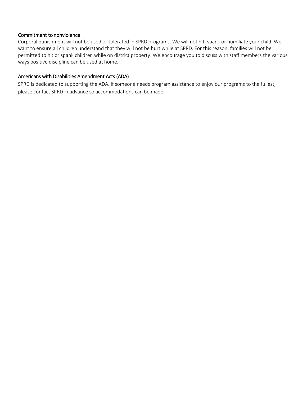#### Commitment to nonviolence

Corporal punishment will not be used or tolerated in SPRD programs. We will not hit, spank or humiliate your child. We want to ensure all children understand that they will not be hurt while at SPRD. For this reason, families will not be permitted to hit or spank children while on district property. We encourage you to discuss with staff members the various ways positive discipline can be used at home.

#### Americans with Disabilities Amendment Acts (ADA)

SPRD is dedicated to supporting the ADA. If someone needs program assistance to enjoy our programs to the fullest, please contact SPRD in advance so accommodations can be made.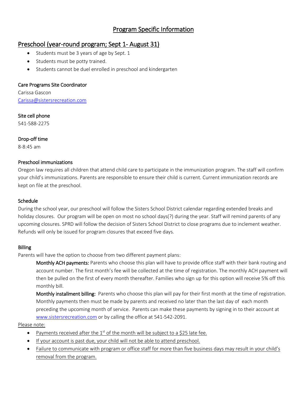# Program Specific Information

## Preschool (year-round program; Sept 1- August 31)

- Students must be 3 years of age by Sept. 1
- Students must be potty trained.
- Students cannot be duel enrolled in preschool and kindergarten

#### Care Programs Site Coordinator

Carissa Gascon [Carissa@sistersrecreation.com](mailto:Carissa@sistersrecreation.com)

Site cell phone

541-588-2275

Drop-off time

8-8:45 am

### Preschool immunizations

Oregon law requires all children that attend child care to participate in the immunization program. The staff will confirm your child's immunizations. Parents are responsible to ensure their child is current. Current immunization records are kept on file at the preschool.

### Schedule

During the school year, our preschool will follow the Sisters School District calendar regarding extended breaks and holiday closures. Our program will be open on most no school days(?) during the year. Staff will remind parents of any upcoming closures. SPRD will follow the decision of Sisters School District to close programs due to inclement weather. Refunds will only be issued for program closures that exceed five days.

#### Billing

Parents will have the option to choose from two different payment plans:

Monthly ACH payments: Parents who choose this plan will have to provide office staff with their bank routing and account number. The first month's fee will be collected at the time of registration. The monthly ACH payment will then be pulled on the first of every month thereafter. Families who sign up for this option will receive 5% off this monthly bill.

Monthly installment billing: Parents who choose this plan will pay for their first month at the time of registration. Monthly payments then must be made by parents and received no later than the last day of each month preceding the upcoming month of service. Parents can make these payments by signing in to their account at [www.sistersrecreation.com](http://www.sistersrecreation.com/) or by calling the office at 541-542-2091.

Please note:

- Payments received after the  $1<sup>st</sup>$  of the month will be subject to a \$25 late fee.
- If your account is past due, your child will not be able to attend preschool.
- Failure to communicate with program or office staff for more than five business days may result in your child's removal from the program.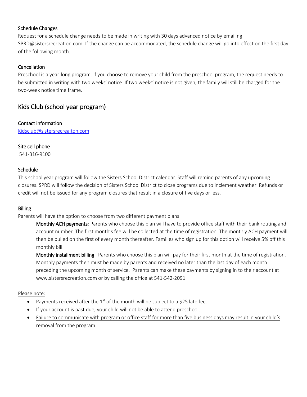## Schedule Changes

Request for a schedule change needs to be made in writing with 30 days advanced notice by emailing SPRD@sistersrecreation.com. If the change can be accommodated, the schedule change will go into effect on the first day of the following month.

## Cancellation

Preschool is a year-long program. If you choose to remove your child from the preschool program, the request needs to be submitted in writing with two weeks' notice. If two weeks' notice is not given, the family will still be charged for the two-week notice time frame.

# Kids Club (school year program)

## Contact information

[Kidsclub@sistersrecreaiton.com](mailto:Kidsclub@sistersrecreaiton.com)

## Site cell phone

541-316-9100

## Schedule

This school year program will follow the Sisters School District calendar. Staff will remind parents of any upcoming closures. SPRD will follow the decision of Sisters School District to close programs due to inclement weather. Refunds or credit will not be issued for any program closures that result in a closure of five days or less.

## Billing

Parents will have the option to choose from two different payment plans:

Monthly ACH payments: Parents who choose this plan will have to provide office staff with their bank routing and account number. The first month's fee will be collected at the time of registration. The monthly ACH payment will then be pulled on the first of every month thereafter. Families who sign up for this option will receive 5% off this monthly bill.

Monthly installment billing: Parents who choose this plan will pay for their first month at the time of registration. Monthly payments then must be made by parents and received no later than the last day of each month preceding the upcoming month of service. Parents can make these payments by signing in to their account at www.sistersrecreation.com or by calling the office at 541-542-2091.

## Please note:

- Payments received after the  $1<sup>st</sup>$  of the month will be subject to a \$25 late fee.
- If your account is past due, your child will not be able to attend preschool.
- Failure to communicate with program or office staff for more than five business days may result in your child's removal from the program.